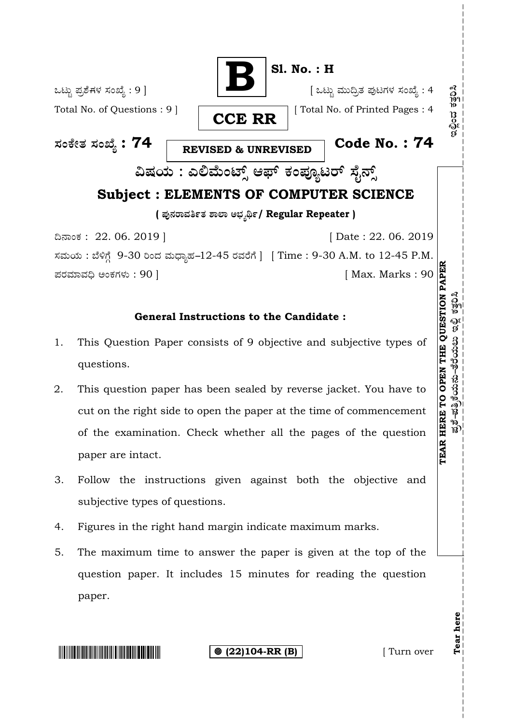

## **General Instructions to the Candidate :**

- 1. This Question Paper consists of 9 objective and subjective types of questions.
- 2. This question paper has been sealed by reverse jacket. You have to cut on the right side to open the paper at the time of commencement of the examination. Check whether all the pages of the question paper are intact.
- 3. Follow the instructions given against both the objective and subjective types of questions.
- 4. Figures in the right hand margin indicate maximum marks.
- 5. The maximum time to answer the paper is given at the top of the question paper. It includes 15 minutes for reading the question paper.



**(22)104-RR (B)** [ Turn over

**Tear here** 

Tear here

ಪ್ರಶೆ-ಪತ್ರಿಕೆಯನು-ತೆರೆಯಲು ಇಲ್ಲಿ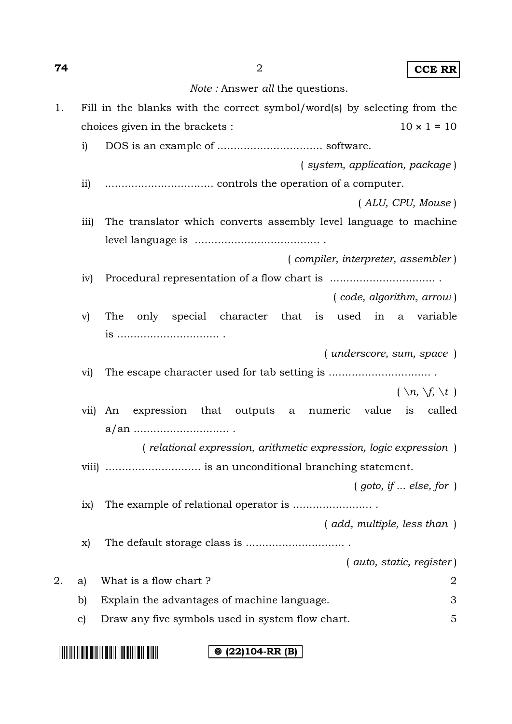| 74 |                         | $\overline{2}$<br><b>CCE RR</b>                                          |
|----|-------------------------|--------------------------------------------------------------------------|
|    |                         | <i>Note</i> : Answer <i>all</i> the questions.                           |
| 1. |                         | Fill in the blanks with the correct symbol/word(s) by selecting from the |
|    |                         | $10 \times 1 = 10$<br>choices given in the brackets :                    |
|    | $\mathbf{i}$            |                                                                          |
|    |                         | (system, application, package)                                           |
|    | $\overline{11}$         |                                                                          |
|    |                         | (ALU, CPU, Mouse)                                                        |
|    | $\overline{iii}$        | The translator which converts assembly level language to machine         |
|    |                         |                                                                          |
|    |                         | (compiler, interpreter, assembler)                                       |
|    | iv)                     |                                                                          |
|    |                         | (code, algorithm, arrow)                                                 |
|    | $\mathbf{v})$           | character that<br>The<br>only special<br>is<br>used in<br>variable<br>a  |
|    |                         |                                                                          |
|    |                         | ( <i>underscore</i> , <i>sum</i> , <i>space</i> )                        |
|    | $\rm{vi)}$              |                                                                          |
|    |                         | $(\ \n\langle n, \setminus f, \setminus t \rangle)$                      |
|    | $\overline{\text{vii}}$ | expression<br>that outputs a numeric value<br>called<br>is<br>An         |
|    |                         |                                                                          |
|    |                         | (relational expression, arithmetic expression, logic expression)         |
|    |                         | viii)  is an unconditional branching statement.                          |
|    |                         | (goto, if  else, for)                                                    |
|    | ix)                     |                                                                          |
|    |                         | (add, multiple, less than)                                               |
|    | X)                      |                                                                          |
|    |                         | (auto, static, register)                                                 |
| 2. | a)                      | What is a flow chart?<br>2                                               |
|    | b)                      | 3<br>Explain the advantages of machine language.                         |
|    | $\mathbf{c})$           | Draw any five symbols used in system flow chart.<br>5                    |

**(22)104-RR (B)**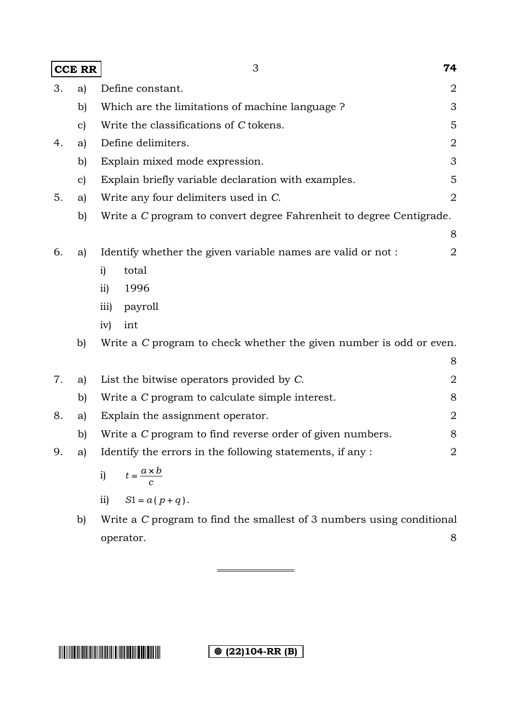| <b>CCE RR</b> |              | 3                                                                    | 74 |
|---------------|--------------|----------------------------------------------------------------------|----|
| 3.            | a)           | Define constant.                                                     | 2  |
|               | b)           | Which are the limitations of machine language?                       | 3  |
|               | $\mathbf{c}$ | Write the classifications of C tokens.                               | 5  |
| 4.            | a)           | Define delimiters.                                                   | 2  |
|               | b)           | Explain mixed mode expression.                                       | 3  |
|               | $\mathbf{c}$ | Explain briefly variable declaration with examples.                  | 5  |
| 5.            | a)           | Write any four delimiters used in C.                                 | 2  |
|               | b)           | Write a C program to convert degree Fahrenheit to degree Centigrade. |    |
|               |              |                                                                      | 8  |
| 6.            | a)           | Identify whether the given variable names are valid or not:          | 2  |
|               |              | total<br>$\mathbf{i}$                                                |    |
|               |              | $\overline{11}$<br>1996                                              |    |
|               |              | $\overline{111}$<br>payroll                                          |    |
|               |              | iv)<br>int                                                           |    |
|               | b)           | Write a C program to check whether the given number is odd or even.  |    |
|               |              |                                                                      | 8  |
| 7.            | a)           | List the bitwise operators provided by C.                            | 2  |
|               | b)           | Write a C program to calculate simple interest.                      | 8  |
| 8.            | a)           | Explain the assignment operator.                                     | 2  |
|               | b)           | Write a C program to find reverse order of given numbers.            | 8  |
| 9.            | a)           | Identify the errors in the following statements, if any :            | 2  |
|               |              | $t = \frac{a \times b}{c}$<br>$\mathbf{i}$                           |    |
|               |              | $S1 = a(p+q)$ .<br>$\overline{11}$                                   |    |

b) Write a *C* program to find the smallest of 3 numbers using conditional operator. 8

**(** $\circ$  (22)104-RR (B)